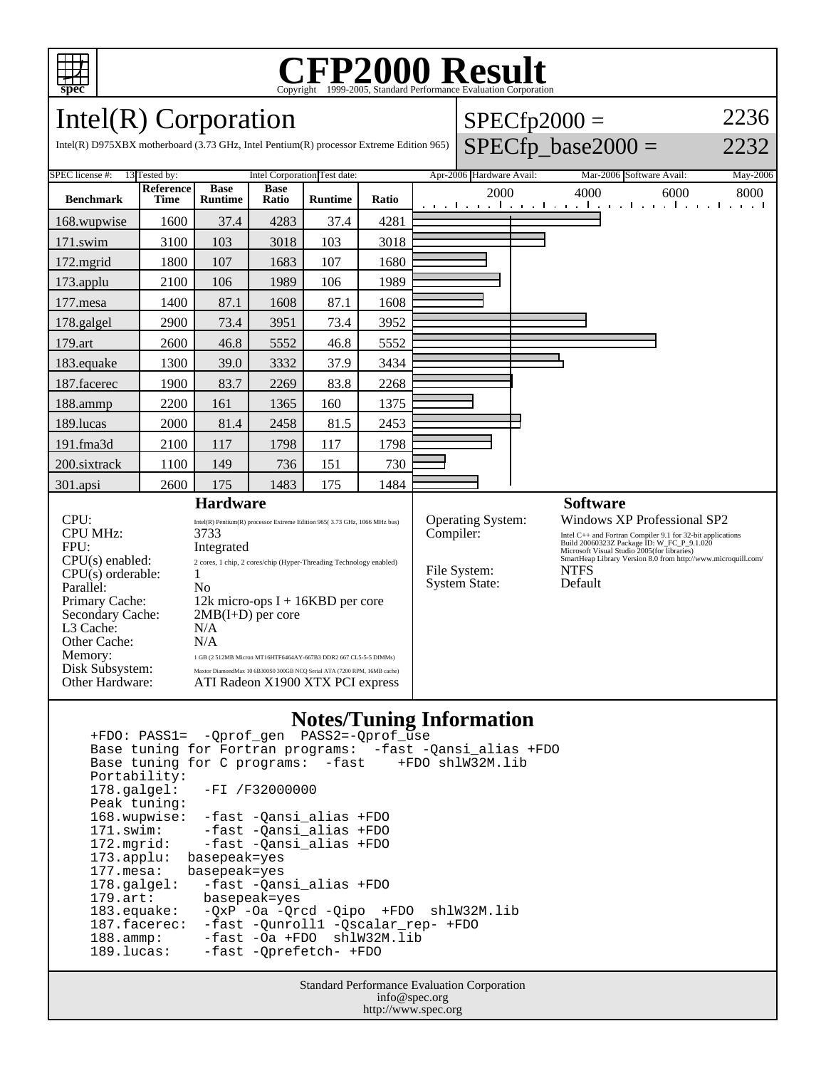

# C<sub>opyright</sub> ©1999-2005, Standard Performance Evaluation Corporation

 $SPECfp2000 =$ 

2236

### Intel(R) Corporation

| Intel(R) D975XBX motherboard $(3.73 \text{ GHz}, \text{Intel Pentium(R)}$ processor Extreme Edition 965)                                             |                                                                                                              |                                                                                                                                                                                                                              |                      |                |                          |                                |                                                                |  | $SPECfp\_base2000 =$                                                                                                                                                                                                                                    |      | 2232 |
|------------------------------------------------------------------------------------------------------------------------------------------------------|--------------------------------------------------------------------------------------------------------------|------------------------------------------------------------------------------------------------------------------------------------------------------------------------------------------------------------------------------|----------------------|----------------|--------------------------|--------------------------------|----------------------------------------------------------------|--|---------------------------------------------------------------------------------------------------------------------------------------------------------------------------------------------------------------------------------------------------------|------|------|
| <b>SPEC</b> license #:<br>13 Tested by:                                                                                                              | Intel Corporation Test date:                                                                                 |                                                                                                                                                                                                                              |                      |                | Apr-2006 Hardware Avail: |                                |                                                                |  | Mar-2006 Software Avail:<br>May-2006                                                                                                                                                                                                                    |      |      |
| <b>Benchmark</b>                                                                                                                                     | <b>Reference</b><br><b>Time</b>                                                                              | <b>Base</b><br><b>Runtime</b>                                                                                                                                                                                                | <b>Base</b><br>Ratio | <b>Runtime</b> | Ratio                    |                                | 2000                                                           |  | 4000<br>المتوجبا وتوجا وتوجا وتوجا وتوجا وتوجا وتوجا والمراق                                                                                                                                                                                            | 6000 | 8000 |
| 168.wupwise                                                                                                                                          | 1600                                                                                                         | 37.4                                                                                                                                                                                                                         | 4283                 | 37.4           | 4281                     |                                |                                                                |  |                                                                                                                                                                                                                                                         |      |      |
| $171$ .swim                                                                                                                                          | 3100                                                                                                         | 103                                                                                                                                                                                                                          | 3018                 | 103            | 3018                     |                                |                                                                |  |                                                                                                                                                                                                                                                         |      |      |
| 172.mgrid                                                                                                                                            | 1800                                                                                                         | 107                                                                                                                                                                                                                          | 1683                 | 107            | 1680                     |                                |                                                                |  |                                                                                                                                                                                                                                                         |      |      |
| 173.applu                                                                                                                                            | 2100                                                                                                         | 106                                                                                                                                                                                                                          | 1989                 | 106            | 1989                     |                                |                                                                |  |                                                                                                                                                                                                                                                         |      |      |
| $177$ .mesa                                                                                                                                          | 1400                                                                                                         | 87.1                                                                                                                                                                                                                         | 1608                 | 87.1           | 1608                     |                                |                                                                |  |                                                                                                                                                                                                                                                         |      |      |
| 178.galgel                                                                                                                                           | 2900                                                                                                         | 73.4                                                                                                                                                                                                                         | 3951                 | 73.4           | 3952                     |                                |                                                                |  |                                                                                                                                                                                                                                                         |      |      |
| 179.art                                                                                                                                              | 2600                                                                                                         | 46.8                                                                                                                                                                                                                         | 5552                 | 46.8           | 5552                     |                                |                                                                |  |                                                                                                                                                                                                                                                         |      |      |
| 183.equake                                                                                                                                           | 1300                                                                                                         | 39.0                                                                                                                                                                                                                         | 3332                 | 37.9           | 3434                     |                                |                                                                |  |                                                                                                                                                                                                                                                         |      |      |
| 187.facerec                                                                                                                                          | 1900                                                                                                         | 83.7                                                                                                                                                                                                                         | 2269                 | 83.8           | 2268                     |                                |                                                                |  |                                                                                                                                                                                                                                                         |      |      |
| 188.ammp                                                                                                                                             | 2200                                                                                                         | 161                                                                                                                                                                                                                          | 1365                 | 160            | 1375                     |                                |                                                                |  |                                                                                                                                                                                                                                                         |      |      |
| 189.lucas                                                                                                                                            | 2000                                                                                                         | 81.4                                                                                                                                                                                                                         | 2458                 | 81.5           | 2453                     |                                |                                                                |  |                                                                                                                                                                                                                                                         |      |      |
| 191.fma3d                                                                                                                                            | 2100                                                                                                         | 117                                                                                                                                                                                                                          | 1798                 | 117            | 1798                     |                                |                                                                |  |                                                                                                                                                                                                                                                         |      |      |
| 200.sixtrack                                                                                                                                         | 1100                                                                                                         | 149                                                                                                                                                                                                                          | 736                  | 151            | 730                      |                                |                                                                |  |                                                                                                                                                                                                                                                         |      |      |
| 301.apsi                                                                                                                                             | 2600                                                                                                         | 175                                                                                                                                                                                                                          | 1483                 | 175            | 1484                     |                                |                                                                |  |                                                                                                                                                                                                                                                         |      |      |
| <b>Hardware</b>                                                                                                                                      |                                                                                                              |                                                                                                                                                                                                                              |                      |                |                          |                                |                                                                |  | <b>Software</b>                                                                                                                                                                                                                                         |      |      |
| CPU:<br><b>CPU MHz:</b><br>FPU:                                                                                                                      |                                                                                                              | Intel(R) Pentium(R) processor Extreme Edition 965(3.73 GHz, 1066 MHz bus)<br>3733<br>Integrated                                                                                                                              |                      |                |                          | Operating System:<br>Compiler: |                                                                |  | Windows XP Professional SP2<br>Intel C++ and Fortran Compiler 9.1 for 32-bit applications<br>Build 20060323Z Package ID: W_FC_P_9.1.020<br>Microsoft Visual Studio 2005(for libraries)<br>SmartHeap Library Version 8.0 from http://www.microquill.com/ |      |      |
| $CPU(s)$ enabled:<br>CPU(s) orderable:<br>Parallel:<br>Primary Cache:<br>Secondary Cache:<br>L3 Cache:<br>Other Cache:<br>Memory:<br>Disk Subsystem: |                                                                                                              | 2 cores, 1 chip, 2 cores/chip (Hyper-Threading Technology enabled)<br>1<br>No<br>12k micro-ops $I + 16KBD$ per core<br>$2MB(I+D)$ per core<br>N/A<br>N/A<br>1 GB (2 512MB Micron MT16HTF6464AY-667B3 DDR2 667 CL5-5-5 DIMMs) |                      |                |                          |                                | File System:<br><b>NTFS</b><br><b>System State:</b><br>Default |  |                                                                                                                                                                                                                                                         |      |      |
| Other Hardware:                                                                                                                                      | Maxtor DiamondMax 10 6B300S0 300GB NCQ Serial ATA (7200 RPM, 16MB cache)<br>ATI Radeon X1900 XTX PCI express |                                                                                                                                                                                                                              |                      |                |                          |                                |                                                                |  |                                                                                                                                                                                                                                                         |      |      |

#### **Notes/Tuning Information**

 +FDO: PASS1= -Qprof\_gen PASS2=-Qprof\_use Base tuning for Fortran programs: -fast -Qansi\_alias +FDO Base tuning for C programs: -fast Portability:<br>178.galgel: -FI /F32000000 Peak tuning: 168.wupwise: -fast -Qansi\_alias +FDO 171.swim: -fast -Qansi\_alias +FDO<br>172.mgrid: -fast -Qansi\_alias +FDO -fast -Qansi\_alias +FDO 173.applu: basepeak=yes 177.mesa: basepeak=yes 178.galgel: -fast -Qansi\_alias +FDO<br>179.art: basepeak=yes 179.art: basepeak=yes<br>183.equake: -QxP -Oa -Qr -QxP -Oa -Qrcd -Qipo +FDO shlW32M.lib 187.facerec: -fast -Qunroll1 -Qscalar\_rep- +FDO 188.ammp: -fast -Oa +FDO shlW32M.lib<br>189.lucas: -fast -Oprefetch- +FDO -fast -Qprefetch- +FDO

> Standard Performance Evaluation Corporation info@spec.org http://www.spec.org